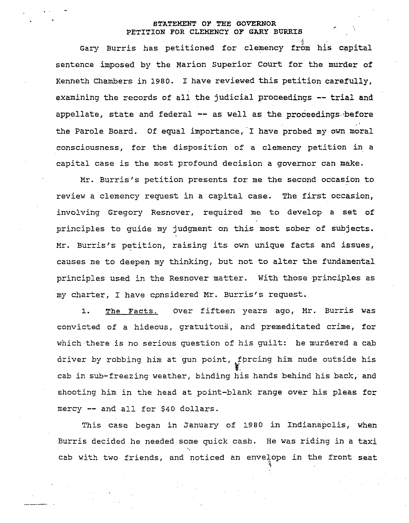## STATEMENT OF THE GOVERNOR PETITION FOR CLEMENCY OF GARY BURRIS

Gary Burris has petitioned for clemency from his capital sentence imposed by the Marion Superior Court for the murder of Kenneth Chambers in 1980. <sup>I</sup> have reviewed this petition carefully, examining the records of all the judicial proceedings -- trial and appellate, state and federal -- as well as the proceedings before the Parole Board. Of equal importance, 'I have probed my own moral consciousness, for the disposition of a clemency petition in a capital case is the most profound decision <sup>a</sup> governor can make.

Mr. Burris's petition presents for me the second occasion to review <sup>a</sup> clemency request in <sup>a</sup> capital case. The first occasion, involving Gregory Resnover, required me to develop <sup>a</sup> set of principles to guide my jUdgment on this most sober of subjects. Mr. Burris's petition, raising its own unique facts and issues, causes me to deepen my thinking, but not to alter the fundamental principles used in the Resnover matter. with those principles as my charter, <sup>I</sup> have cpnsidered Mr. Burris's request.

1. The Facts. Over fifteen years ago, Mr. Burris was convicted of a hideous, gratuitous, and premeditated crime, for which there is no serious question of his guilt: he murdered <sup>a</sup> cab driver by robbing him at gun point, fbrcing him nude outside his cab in sub-freezing weather, binding his hands behind his back, and shooting him in the head at point-blank range over his pleas for mercy -- and all for \$40 dollars.

This case began in January of 1980 in Indianapolis, when Burris decided he needed some quick cash. He was riding in a taxi " cab with two friends, and noticed an envelope in the front seat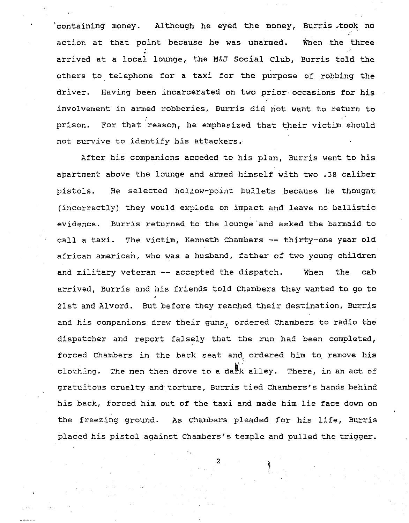containing money. Although he eyed the money, Burris took no action at that point· because he was unarmed. When the three arrived at a local lounge, the M&J Social Club, Burris told the others to telephone for a taxi for the purpose of robbing the driver. Having been incarcerated on two prior occasions for his involvement in armed robberies, Burris did not want to return to prison. For that reason, he emphasized that their victim should not survive to identify his attackers.

After his companions acceded to his plan, Burris went to his apartment above the lounge and armed himself with two .38 caliber pistols. He selected hollow-point bullets because he thought (incorrectly) they would explode on impact and leave no ballistic evidence. Burris returned to the lounge 'and asked the barmaid to call <sup>a</sup> taxi. The victim, Kenneth Chambers **--** thirty-one year old african american, who was a husband, father of two young children and military veteran **--** accepted the dispatch. When the cab arrived, Burris and his friends told Chambers they wanted to go to 21st and Alvord. But before they reached their destination, Burris and his companions drew their guns, ordered Chambers to radio the dispatcher and report falsely that the run had been completed, forced Chambers in the back seat and, ordered him to remove his clothing. The men then drove to a dark alley. There, in an act of gratuitous cruelty and torture, Burris tied Chambers's hands behind his back, forced him out of the taxi and made him lie face down on the freezing ground. As Chambers pleaded for his life, Burris placed his pistol against Chambers's temple and pulled the trigger.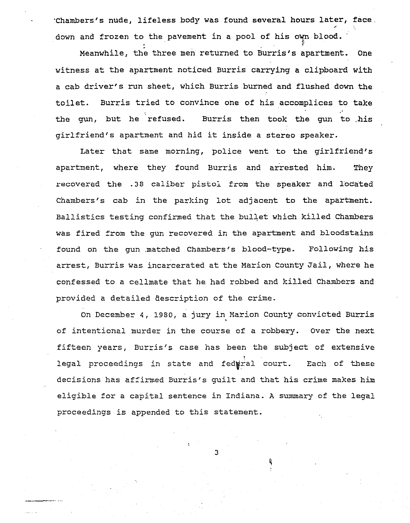'Chambers's nUde, lifeless body was found several hours later, face. down and frozen to the pavement in a pool of his own blood.

Meanwhile, the three men returned to Burris's apartment. One witness at the apartment noticed Burris carrying <sup>a</sup> clipboard with <sup>a</sup> cab driver's run sheet, which Burris burned and flushed down the toilet. Burris tried to convince one of his accomplices to take the gun, but he refused. Burris then took the gun to ,his girlfriend's apartment and hid it inside <sup>a</sup> stereo speaker.

Later that same morning, police went to the girlfriend's apartment, where they found Burris and arrested him. They recovered the .38 caliber pistol from the speaker and located Chambers's cab in the parking lot adjacent to the apartment. Ballistics testing confirmed that the bullet which killed Chambers was fired from the gun recovered in the apartment and bloodstains found on the gun .matched Chambers's blood-type. Following his arrest, Burris was incarcerated at the Marion county Jail, where he confessed to <sup>a</sup> cellmate that he had robbed and killed Chambers and provided a detailed description of the crime.

On December 4, 1980, <sup>a</sup> jury in Marion County convicted Burris • of intentional murder in the course of a robbery. Over the next fifteen years, Burris's case has been the subject of extensive legal proceedings in state and fedwral court. Each of these decisions has affirmed Burris's guilt and that his crime makes him eligible for <sup>a</sup> capital sentence in Indiana. <sup>A</sup> summary of the legal proceedings is appended to this statement.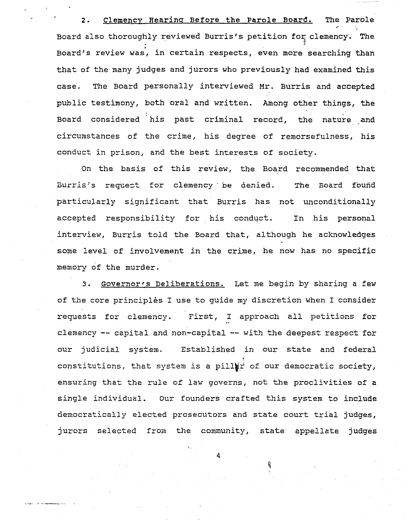2. Clemency Hearing Before the Parole Board. The Parole Board also thoroughly reviewed Burris's petition for clemency. The case. Board's review was, in certain respects, even more searching than that of the many judges and jurors who previously had examined this The Board personally interviewed Mr. Burris and accepted public testimony, both oral and written. Among other things, the Board considered 'his past criminal record, the nature and circumstances of the crime, his degree of remorsefulness, his conduct in prison, and the best interests of society.

On the basis of this review, the Board recommended that Burris's request for clemency be denied. The Board found particularly significant that Burris has not unconditionally accepted responsibility for his conduct. In his personal interview, Burris told the Board that, although he acknowledges some level of involvement in the crime, he now has no specific memory of the murder.

3. Governor's Deliberations. Let me begin by sharing a few of the core principlés I use to quide my discretion when I consider requests for clemency. First, <sup>I</sup> approach all petitions for clemency -- capital and non-capital -- with the deepest respect for our jUdicial system. Established in our state and federal constitutions, that system is a pill  $\overrightarrow{p^+}$  of our democratic society, ensuring that the rule of law governs, not the proclivities of a single individual. Our founders crafted this system to include democratically elected prosecutors and state court trial jUdges, jurors selected from the community, state appellate judges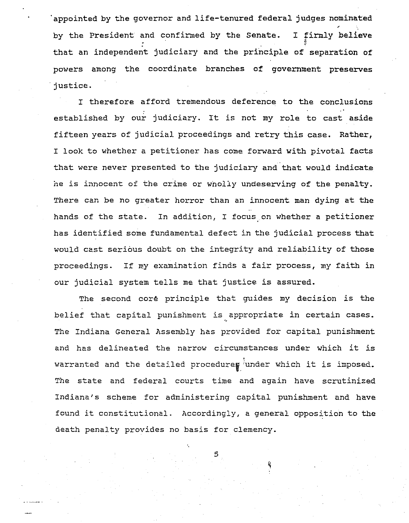appointed by the governor and life-tenured federal judges nominated by the President and confirmed by the Senate. that an independent judiciary and the principle of separation of I firmly believe  $\ddot{\phantom{0}}$ powers among the coordinate branches of government preserves . justice.

I therefore afford tremendous deference to the conclusions established by our judiciary. It is not my role to cast aside fifteen years of judicial proceedings and retry this case. Rather, I look to whether a petitioner has come forward with pivotal facts that were never presented to the judiciary and that would indicate he is innocent of the crime or wholly undeserving of the penalty. There can be no greater horror than an innocent man dying at the hands of the state. In addition, I focus on whether a petitioner has identified some fundamental defect in the jUdicial process that would cast serious doubt on the integrity and reliability of those proceedings. If my examination finds <sup>a</sup> fair process, my faith in our judicial system tells me that justice is assured.

The second coré principle that guides my decision is the belief that capital punishment is appropriate in certain cases. The Indiana General Assembly has provided for capital punishment and has delineated the narrow circumstances under which it is warranted and the detailed procedure  $\frac{1}{2}$  under which it is imposed. The state and federal courts time and again have scrutinized Indiana's scheme for administering capital punishment and have found it constitutional. Accordingly, <sup>a</sup> general opposition to the death penalty provides no basis for clemency.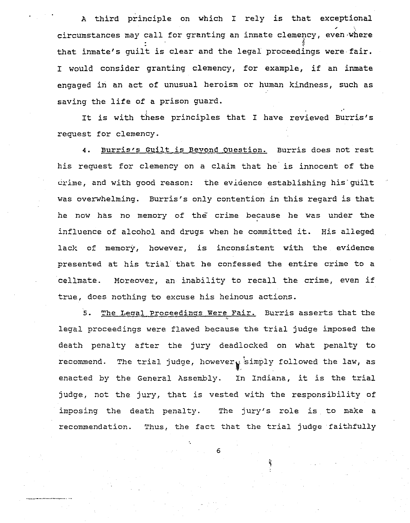<sup>A</sup> third principle on which <sup>I</sup> rely is that exceptional circumstances may call for granting an inmate clemency, even where that inmate's guilt *is* clear and the legal proceedings were· fair. <sup>I</sup> would consider granting clemency, for example, if an inmate engaged in an act of unusual heroism or human kindness, such as saving the life of <sup>a</sup> prison guard.

It is with these principles that <sup>I</sup> have reviewed Burris's request for clemency.

**4.** Burris's Guilt is Bevond Question. Burris does not rest his request for clemency on <sup>a</sup> claim that he' is innocent of the  $c_{\text{time}}$ , and with good reason: the evidence establishing his guilt was overwhelming. Burris's only contention in this regard *is* that he now has no memory of the *crime* because he was under the influence of alcohol and drugs when he committed *it.* His alleged lack of memory, however, is inconsistent with the evidence presented at his trial that he confessed the entire crime to <sup>a</sup> cellmate. Moreover, an inability to recall the crime, even if true, does nothing to excuse his heinous actions.

5. The Legal Proceedings Were Fair. Burris asserts that the legal proceedings were flawed because the trial judge imposed the death penalty after the jury deadlocked on what penalty to recommend. The trial judge, however  $_{\mathbf{y}}$  simply followed the law, as enacted by the General Assembly. In Indiana, it is the trial judge, not the jury, that is vested with the responsibility of imposing the death penalty. The jury's role is to make a recommendation. Thus, the fact that the trial judge faithfully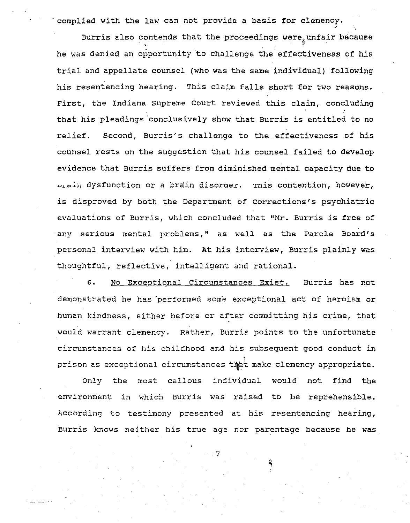· complied with the law can not provide a basis for clemency.

Burris also contends that the proceedings were unfair because he was denied an opportunity to challenge the'effectiveness of his trial and appellate counsel (who was the same individual) following his resentencing hearing. This claim falls short for two reasons. First, the Indiana supreme court reviewed this claim, concluding that his pleadings conclusively show that Burris is entitled to no relief. Second, Burris's challenge to the effectiveness of his counsel rests on the suggestion that his counsel failed to develop evidence that Burris suffers from diminished mental capacity due to Lighther dysfunction or a brain disoraer. This contention, however, is disproved by both the Department of Corrections's psychiatric evaluations of Burris, which concluded that "Mr. Burris is free of any serious mental problems," as well as the Parole Board's personal interview with him. At his interview, Burris plainly was thoughtful, reflective, intelligent and rational.

6. No Exceptional circumstances Exist. Burris has not demonstrated he has 'performed some exceptional act of heroism or human kindness, either before or after committing his crime, that would warrant clemency. Rather, Burris points to the unfortunate circumstances of his childhood and his subsequent good conduct in prison as exceptional circumstances that make clemency appropriate.

Only the most callous individual would not find the environment in which Burris was raised to be reprehensible. According to testimony presented at his resentencing hearing, Burris knows neither his true age nor parentage because he was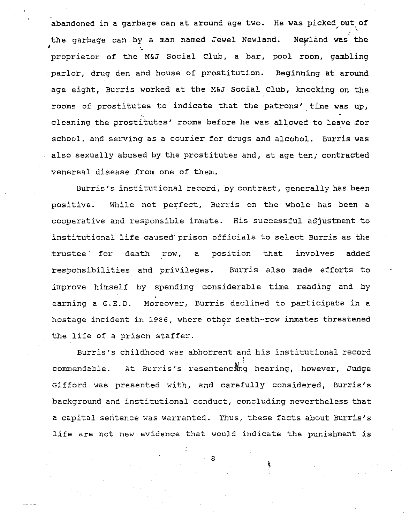abandoned in a garbage can at around age two. He was picked out of '. the garbage can by a man named Jewel Newland. Newland was the proprietor of the M&J Social Club, a bar, pool room, gambling parlor, drug den and house of prostitution. Beginning at around age eight, Burris worked at the M&J Social Club, knocking on the rooms of prostitutes to indicate that the patrons' time was up, cleaning the prostitutes' rooms before he was allowed to leave .for school, and serving as a *courier* for drugs and alcohol. Burris was also sexually abused by the prostitutes and, at age ten, contracted venereal disease from one of them.

I

المتحفف

Burris's institutional record, by contrast, generally has been positive. While not perfect, Burris on the whole has been a cooperative and responsible inmate. His successful adjustment to institutional life caused prison officials to select Burris as the trustee for death row, <sup>a</sup> position that involves added responsibilities and privileges. Burris also made efforts to improve himself by spending considerable time reading and by earning a G.E.D. Moreover, Burris declined to participate in a hostage incident in 1986, where other death-row inmates threatened the life of <sup>a</sup> prison staffer.

Burris's childhood was abhorrent and his institutional record commendable. At Burris's resentencing hearing, however, Judge Gifford was presented with, and carefully considered, Burris's background and institutional conduct, concluding nevertheless that a capital sentence was warranted. Thus, these facts about Burris's life are not new evidence that would indicate the punishment is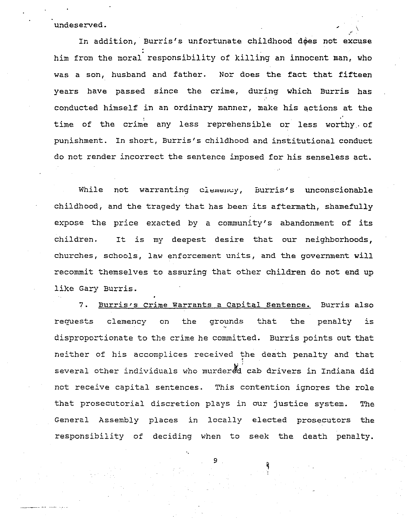undeserved. \

In addition, Burris's unfortunate childhood does not excuse him from the moral responsibility of killing an innocent man, who was a son, husband and father. Nor does the fact that fifteen years have passed since the crime, during which Burris has conducted himself in an ordinary manner, make his qctions at the time of the crime any less reprehensible or less worthy of punishment. In short, Burris's childhood and institutional conduct do not render incorrect the sentence imposed for his senseless act.

While not warranting clemency, Burris's unconscionable childhood, and the tragedy that has been its aftermath, shamefully expose the price exacted by <sup>a</sup> community's abandonment of its children. It is my deepest desire that our neighborhoods, Churches, schools, law enforcement units, and the government will recommit themselves to assuring that other children do not end up like Gary Burris.

7. Burris's Crime Warrants a Capital Sentence. Burris also requests clemency on the grounds that the penalty is disproportionate to the crime he committed. Burris points out that neither of his accomplices received the death penalty and that several other individuals who murdered cab drivers in Indiana did not receive capital sentences. This contention ignores the role that prosecutorial discretion plays in our justice system. The General Assembly places in locally elected prosecutors the responsibility of deciding when to seek the death penalty.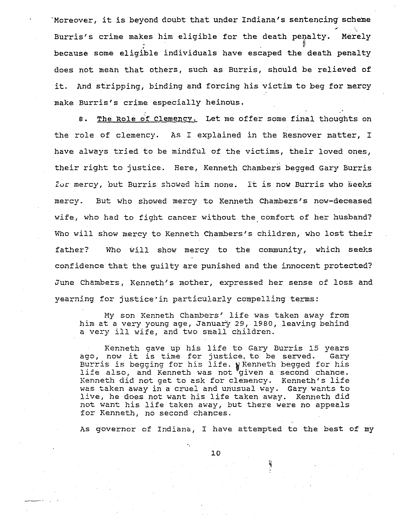"Moreover, it is beyond doubt that under Indiana's sentencing scheme Burris's crime makes him eligible for the death penalty. Merely because some eligible individuals have escaped the death penalty does not mean that others, such as Burris, should be relieved of it. And stripping, binding and forcing his victim to beg for mercy make Burris's crime especially heinous.

8. The Role of Clemency. Let me offer some final thoughts on the role of clemency. As I explained in the Resnover matter, I have always tried to be mindful of the victims, their loved ones, their right to justice. Here, Kenneth Chambers begged Gary Burris Zur mercy, but Burris showed him none. It is now Burris who seeks mercy. But who showed mercy to Kenneth Chambers's now-deceased wife, who had to fight cancer without the comfort of her husband? Who will show mercy to Kenneth Chambers's children, who lost their father? Who will show mercy to the community, which seeks confidence that the guilty are punished and the innocent protected? June Chambers, Kenneth's mother, expressed her sense of loss and yearning for justice'in particularly compelling terms:

My son Kenneth Chambers' life was taken away from him at a very young age, January 29, 1980, leaving behind <sup>a</sup> very ill wife, and two small children.

Kenneth gave up his life to Gary Burris <sup>15</sup> years ago, now it is time for justice, to be served. Gary Burris is begging for his life. Whenneth begged for his life also, and Kenneth was not "given a second chance. Kenneth did not get to ask for clemency. Kenneth's life was taken away in a cruel and unusual way. Gary wants to live, he does not want his life taken away. Kenneth did not want his life taken away, but there were no appeals for Kenneth, no second chances.

As governor of Indiana, I have attempted to the best of my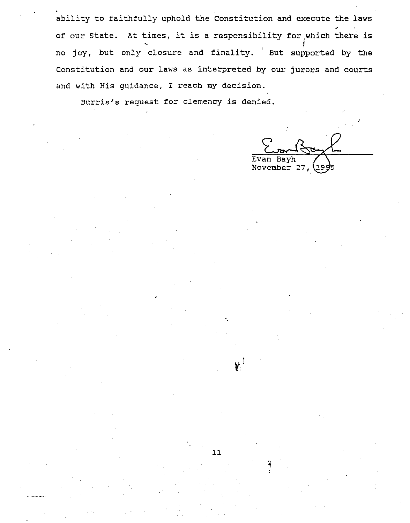ability to faithfully uphold the constitution and execute the laws no joy, but only closure and finality. But supported by the 0. of our State. At times, it is a responsibility for which there is Constitution and our laws as interpreted by our jurors and courts and with His guidance, I reach my decision.

Burris's request for clemency is denied.

Evan November 27, 199

.'

.'

11

"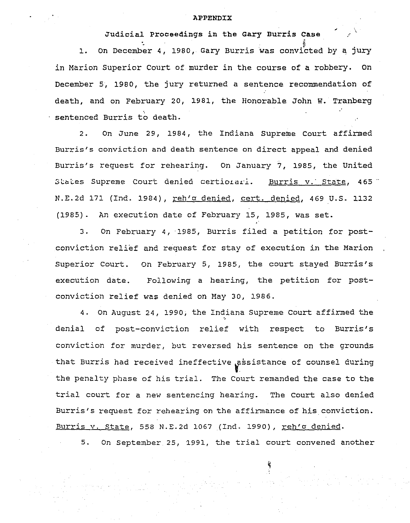## APPENDIX

Judicial proceedings in the Gary Burris Case

"

 $\mathcal{L}$ 

1. : On December 4, 1980, Gary Burris was convicted by q jury in Marion Superior Court of murder in the course of a robbery. On December 5, 1980, the jury returned a sentence recommendation of death, and on February 20, 1981, the Honorable John W. Tranberg sentenced Burris to death.

2. On June 29, 1984, the Indiana Supreme Court affirmed Burris's conviction and death sentence on direct appeal and denied Burris's request for rehearing. On January 7, 1985, the United States Supreme Court denied certiorari. Burris v. State, 465" N.E.2d 171 (Ind. 1984), reh'a denied, cert. denied, 469 U.S. 1132 (1985). An execution date of February 15, 1985, was set.

3. On February 4, '1985, Burris filed <sup>a</sup> petition for postconviction relief and request for stay of execution in the Marion Superior court. On February 5, 1985, the court stayed Burris's execution date. Following <sup>a</sup> hearing, the petition for postconviction relief was denied on May 3D, 1986.

4. On August 24, 1990; the Indiana Supreme court affirmed the "0 denial of post-conviction relief with respect to Burris's conviction for murder, but reversed his sentence on the grounds that Burris had received ineffective assistance of counsel during the penalty phase of his trial. The Court remanded the case to the trial court for <sup>a</sup> new sentencing hearing. The court also denied Burris's request for rehearing on the affirmance of his conviction. Burris v. State, 558 N.E.2d 1067 (Ind. 1990), reh'd denied.

5. On September 25, 1991, the trial court convened another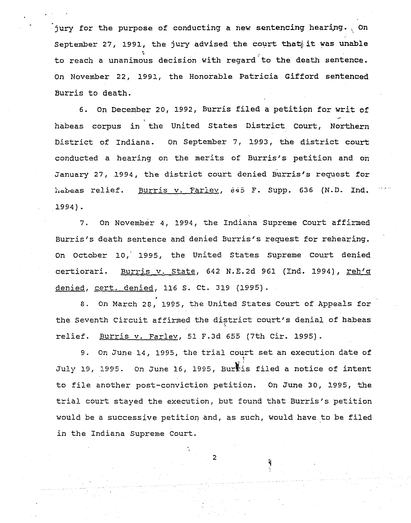jury for the purpose of conducting a new sentencing hearing. On September 27, 1991, the jury advised the court that it was unable **,**<br>. to reach a unanimous decision with regard'to the death sentence. On November 22, 1991, the Honorable Patricia Gifford sentenced Burris to death.

6. On December 20, 1992, Burris filed <sup>a</sup> petitipn for writ of .' habeas corpus in the United States District court, Northern District of Indiana. On September 7, 1993, the district court conducted a hearing on the merits of Burris's petition and on January 27, 1994, the district court denied Burris's request for habeas relief. Burris v. Farley, 645 F. Supp. 636 (N.D. Ind. 1994) .

7. On November 4, 1994, the Indiana Supreme Court affirmed Burris's death sentence and denied Burris's request for rehearing. On october 10, 1995, the United States supreme Court denied certiorari. Burris v. State, 642 N.E.2d 961 (Ind. 1994), reh'g denied, cert. denied, 116 S. ct. 319 (1995).

8. On March 28, 1995, the United States Court of Appeals for the Seventh Circuit affirmed the district court's denial of habeas relief. Burris v. Farlev, <sup>51</sup> F.3d <sup>655</sup> (7th *cir.* 1995).

9. On June 14, 1995, the trial court set an execution date of l July 19, 1995. On June 16, 1995, Burtis filed a notice of intent to *file* another post-conviction petition. On June 3D, 1995, the trial court stayed the execution, but found that Burris's *petition* would be a successive petition and, as such, would have to be filed in the Indiana Supreme Court.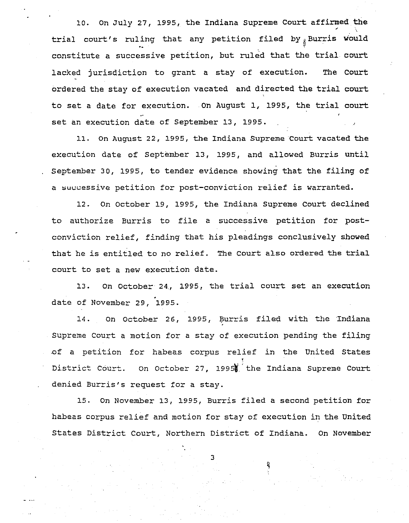10. On July 27, 1995, the Indiana Supreme Court affirmed the trial court's ruling that any petition filed by Burris would constitute <sup>a</sup> successive petition, but ruled that the trial court lacked jurisdiction to grant a stay of execution. The Court ordered the stay of execution vacated and directed the trial court to set <sup>a</sup> date for execution. On August 1, 1995, the trial court set an execution date of september 13, 1995.

11. On August 22, 1995, the Indiana Supreme Court vacated the execution date of September 13, 1995, and allowed Burris until September 30, 1995, to tender evidence showing that the filing of a successive petition for post-conviction relief is warranted.

12. On october 19, 1995, the Indiana Supreme Court declined to authorize Burris to file <sup>a</sup> successive petition for postconviction relief, finding that his pleadings conclusively showed that he is entitled to no relief. The court also ordered the trial court to set <sup>a</sup> new execution date.

13. On October 24., 1995, the trial court set an execution . date of November 29, 1995.

14. On October 26, 1995, Burris filed with the Indiana Supreme Court <sup>a</sup> motion for <sup>a</sup> stay of execution pending the filing .of <sup>a</sup> petition for habeas corpus relief in the United States **District. court.** I On octobe:::- 27, 1995W' the Indiana Supreme Court denied Burris's request for a stay.

15. On November 13, 1995, Burris filed <sup>a</sup> second petition for habeas corpus relief and motion for stay of execution in the United States District Court, Northern District of Indiana. On November